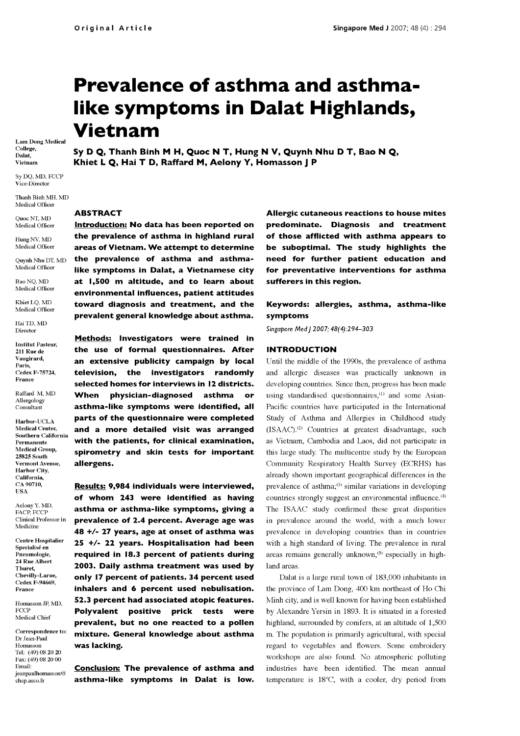# Prevalence of asthma and asthma like symptoms in Dalat Highlands, Vietnam

Lam Dong Medical College, Dalat, Vietnam

Sy DQ, MD, FCCP Vice -Director

Thanh Binh MH, MD Medical Officer

Quoc NT, MD Medical Officer

Hung NV, MD<br>Medical Officer

Quynh Nhu DT, MD Medical Officer Bao NQ, MD Medical Officer

Khiet LQ, MD Medical Officer Hai TD, MD

Director

Institut Pasteur, 211 Rue de Vaugirard, Paris, Cedex F-75724, France

Raffard M, MD Allergology Consultant

Harbor -UCLA Medical Center, Southern California Permanente Medical Group, 25825 South Vermont Avenue, Harbor City, California, CA 90710, USA

Aelony Y, MD, FACP, FCCP Clinical Professorin Medicine

Centre Hospitalier Specialisé en Pneumologie, 24 Rue Albert Thuret, Chevilly-Larue, Cedex F-94669, France

Homasson JP, MD, **FCCP** Medical Chief

Correspondence to: Dr Jean-Paul Homasson Tel: (49) 08 20 20 Fax: (49) 08 20 00 Email: jeanpaulhomasson@ chsp.asso.fr

Sy D Q, Thanh Binh M H, Quoc N T, Hung N V, Quynh Nhu D T, Bao N Q, Khiet L Q, Hai T D, Raffard M, Aelony Y, Homasson J P

#### ABSTRACT

Introduction: No data has been reported on the prevalence of asthma in highland rural areas of Vietnam. We attempt to determine the prevalence of asthma and asthmalike symptoms in Dalat, a Vietnamese city at 1,500 m altitude, and to learn about environmental influences, patient attitudes toward diagnosis and treatment, and the prevalent general knowledge about asthma.

Methods: Investigators were trained in the use of formal questionnaires. After an extensive publicity campaign by local television, the investigators randomly selected homes for interviews in 12 districts. When physician-diagnosed asthma or asthma-like symptoms were identified, all parts of the questionnaire were completed and a more detailed visit was arranged with the patients, for clinical examination, spirometry and skin tests for important allergens.

Results: 9,984 individuals were interviewed, of whom 243 were identified as having asthma or asthma-like symptoms, giving a prevalence of 2.4 percent. Average age was 48 +/- 27 years, age at onset of asthma was 25 +/- 22 years. Hospitalisation had been required in 18.3 percent of patients during 2003. Daily asthma treatment was used by only 17 percent of patients. 34 percent used inhalers and 6 percent used nebulisation. 52.3 percent had associated atopic features. Polyvalent positive prick tests were prevalent, but no one reacted to a pollen mixture. General knowledge about asthma was lacking.

Conclusion: The prevalence of asthma and asthma-like symptoms in Dalat is low.

Allergic cutaneous reactions to house mites predominate. Diagnosis and treatment of those afflicted with asthma appears to be suboptimal. The study highlights the need for further patient education and for preventative interventions for asthma sufferers in this region.

## Keywords: allergies, asthma, asthma-like symptoms

Singapore Med J 2007; 48(4):294-303

## INTRODUCTION

Until the middle of the 1990s, the prevalence of asthma and allergic diseases was practically unknown in developing countries. Since then, progress has been made using standardised questionnaires, $<sup>(1)</sup>$  and some Asian-</sup> Pacific countries have participated in the International Study of Asthma and Allergies in Childhood study  $(ISAAC)^{(2)}$  Countries at greatest disadvantage, such as Vietnam, Cambodia and Laos, did not participate in this large study. The multicentre study by the European Community Respiratory Health Survey (ECRHS) has already shown important geographical differences in the prevalence of asthma; $^{(3)}$  similar variations in developing countries strongly suggest an environmental influence.<sup>(4)</sup> The ISAAC study confirmed these great disparities in prevalence around the world, with a much lower prevalence in developing countries than in countries with a high standard of living. The prevalence in rural areas remains generally unknown,<sup>(5)</sup> especially in highland areas.

Dalat is a large rural town of 183,000 inhabitants in the province of Lam Dong, 400 km northeast of Ho Chi Minh city, and is well known for having been established by Alexandre Yersin in 1893. It is situated in a forested highland, surrounded by conifers, at an altitude of 1,500 m. The population is primarily agricultural, with special regard to vegetables and flowers. Some embroidery workshops are also found. No atmospheric polluting industries have been identified. The mean annual temperature is 18°C, with a cooler, dry period from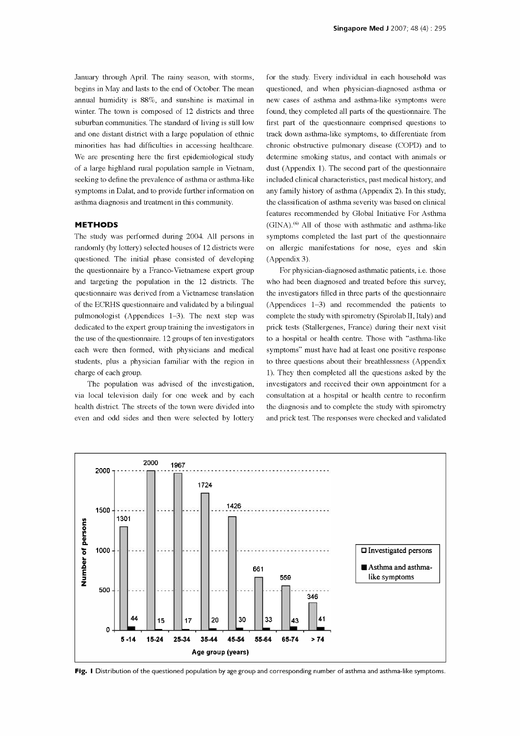January through April. The rainy season, with storms, winter. The town is composed of 12 districts and three suburban communities. The standard of living is still low and one distant district with a large population of ethnic minorities has had difficulties in accessing healthcare. We are presenting here the first epidemiological study of a large highland rural population sample in Vietnam, seeking to define the prevalence of asthma or asthma -like symptoms in Dalat, and to provide further information on asthma diagnosis and treatment in this community.

## METHODS

The study was performed during 2004. All persons in randomly (by lottery) selected houses of 12 districts were questioned. The initial phase consisted of developing the questionnaire by a Franco-Vietnamese expert group and targeting the population in the 12 districts. The questionnaire was derived from a Vietnamese translation of the ECRHS questionnaire and validated by a bilingual pulmonologist (Appendices 1-3). The next step was dedicated to the expert group training the investigators in the use of the questionnaire. 12 groups of ten investigators each were then formed, with physicians and medical students, plus a physician familiar with the region in charge of each group.

The population was advised of the investigation, via local television daily for one week and by each health district. The streets of the town were divided into even and odd sides and then were selected by lottery

begins in May and lasts to the end of October. The mean questioned, and when physician-diagnosed asthma or annual humidity is 88%, and sunshine is maximal in new cases of asthma and asthma-like symptoms were for the study. Every individual in each household was found, they completed all parts of the questionnaire. The first part of the questionnaire comprised questions to track down asthma -like symptoms, to differentiate from chronic obstructive pulmonary disease (COPD) and to determine smoking status, and contact with animals or dust (Appendix 1). The second part of the questionnaire included clinical characteristics, past medical history, and any family history of asthma (Appendix 2). In this study, the classification of asthma severity was based on clinical features recommended by Global Initiative For Asthma  $(GINA)$ .<sup> $(6)$ </sup> All of those with asthmatic and asthma-like symptoms completed the last part of the questionnaire on allergic manifestations for nose, eyes and skin (Appendix 3).

> For physician -diagnosed asthmatic patients, i.e. those who had been diagnosed and treated before this survey, the investigators filled in three parts of the questionnaire (Appendices 1-3) and recommended the patients to complete the study with spirometry (Spirolab II, Italy) and prick tests (Stallergenes, France) during their next visit to a hospital or health centre. Those with "asthma -like symptoms" must have had at least one positive response to three questions about their breathlessness (Appendix 1). They then completed all the questions asked by the investigators and received their own appointment for a consultation at a hospital or health centre to reconfirm the diagnosis and to complete the study with spirometry and prick test. The responses were checked and validated



Fig. I Distribution of the questioned population by age group and corresponding number of asthma and asthma-like symptoms.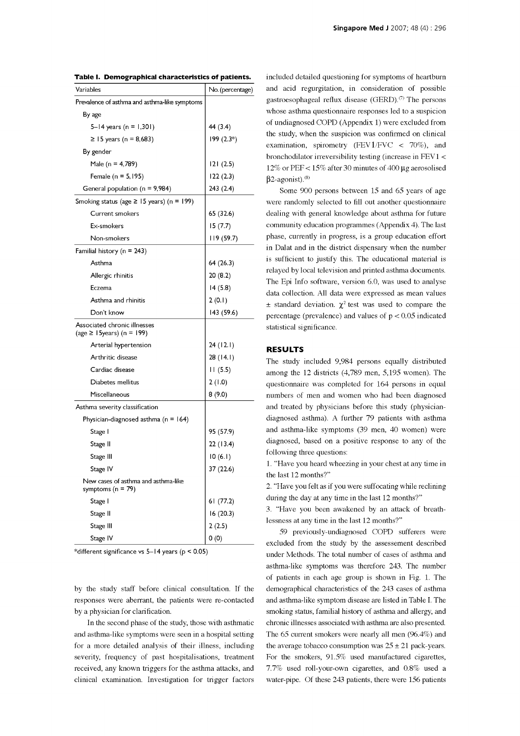| Variables                                                       | No. (percentage) |
|-----------------------------------------------------------------|------------------|
| Prevalence of asthma and asthma-like symptoms                   |                  |
| By age                                                          |                  |
| 5–14 years (n = 1,301)                                          | 44 (3.4)         |
| ≥ 15 years (n = 8,683)                                          | 199 (2.3*)       |
| By gender                                                       |                  |
| Male (n = 4,789)                                                | 121(2.5)         |
| Female $(n = 5, 195)$                                           | 122(2.3)         |
| General population ( $n = 9,984$ )                              | 243 (2.4)        |
| Smoking status (age $\ge$ 15 years) (n = 199)                   |                  |
| <b>Current smokers</b>                                          | 65 (32.6)        |
| Ex-smokers                                                      | 15(7.7)          |
| Non-smokers                                                     | 119 (59.7)       |
| Familial history ( $n = 243$ )                                  |                  |
| Asthma                                                          | 64 (26.3)        |
| Allergic rhinitis                                               | 20(8.2)          |
| Eczema                                                          | 14(5.8)          |
| Asthma and rhinitis                                             | 2(0.1)           |
| Don't know                                                      | 143 (59.6)       |
| Associated chronic illnesses<br>(age $\geq$ 15 years) (n = 199) |                  |
| Arterial hypertension                                           | 24(12.1)         |
| Arthritic disease                                               | 28 (14.1)        |
| Cardiac disease                                                 | 11(5.5)          |
| Diabetes mellitus                                               | 2(1.0)           |
| Miscellaneous                                                   | 8(9.0)           |
| Asthma severity classification                                  |                  |
| Physician-diagnosed asthma ( $n = 164$ )                        |                  |
| Stage I                                                         | 95 (57.9)        |
| Stage II                                                        | 22(13.4)         |
| Stage III                                                       | 10(6.1)          |
| Stage IV                                                        | 37 (22.6)        |
| New cases of asthma and asthma-like<br>symptoms ( $n = 79$ )    |                  |
| Stage I                                                         | 61 (77.2)        |
| Stage II                                                        | 16(20.3)         |
| Stage III                                                       | 2(2.5)           |
| Stage IV                                                        | 0(0)             |

Table I. Demographical characteristics of patients.

\*different significance vs  $5-14$  years ( $p < 0.05$ )

by the study staff before clinical consultation. If the responses were aberrant, the patients were re -contacted by a physician for clarification.

In the second phase of the study, those with asthmatic and asthma -like symptoms were seen in a hospital setting for a more detailed analysis of their illness, including severity, frequency of past hospitalisations, treatment received, any known triggers for the asthma attacks, and clinical examination. Investigation for trigger factors included detailed questioning for symptoms of heartburn and acid regurgitation, in consideration of possible gastroesophageal reflux disease (GERD).<sup> $(7)$ </sup> The persons whose asthma questionnaire responses led to a suspicion of undiagnosed COPD (Appendix 1) were excluded from the study, when the suspicion was confirmed on clinical examination, spirometry (FEV1/FVC  $\langle$  70%), and bronchodilator irreversibility testing (increase in FEV1 < 12% or PEF < 15% after 30 minutes of 400 µg aerosolised  $\beta$ 2-agonist).<sup>(8)</sup>

Some 900 persons between 15 and 65 years of age were randomly selected to fill out another questionnaire dealing with general knowledge about asthma for future community education programmes (Appendix 4). The last phase, currently in progress, is a group education effort in Dalat and in the district dispensary when the number is sufficient to justify this. The educational material is relayed by local television and printed asthma documents. The Epi Info software, version 6.0, was used to analyse data collection. All data were expressed as mean values  $\pm$  standard deviation.  $\chi^2$  test was used to compare the percentage (prevalence) and values of  $p < 0.05$  indicated statistical significance.

## RESULTS

The study included 9,984 persons equally distributed among the 12 districts (4,789 men, 5,195 women). The questionnaire was completed for 164 persons in equal numbers of men and women who had been diagnosed and treated by physicians before this study (physiciandiagnosed asthma). A further 79 patients with asthma and asthma -like symptoms (39 men, 40 women) were diagnosed, based on a positive response to any of the following three questions:

1. "Have you heard wheezing in your chest at any time in the last 12 months?"

2. "Have you felt as if you were suffocating while reclining during the day at any time in the last 12 months?"

3. "Have you been awakened by an attack of breathlessness at any time in the last 12 months?"

59 previously -undiagnosed COPD sufferers were excluded from the study by the assessement described under Methods. The total number of cases of asthma and asthma -like symptoms was therefore 243. The number of patients in each age group is shown in Fig. 1. The demographical characteristics of the 243 cases of asthma and asthma -like symptom disease are listed in Table I. The smoking status, familial history of asthma and allergy, and chronic illnesses associated with asthma are also presented. The 65 current smokers were nearly all men (96.4%) and the average tobacco consumption was  $25 \pm 21$  pack-years. For the smokers, 91.5% used manufactured cigarettes, 7.7% used roll -your -own cigarettes, and 0.8% used a water-pipe. Of these 243 patients, there were 156 patients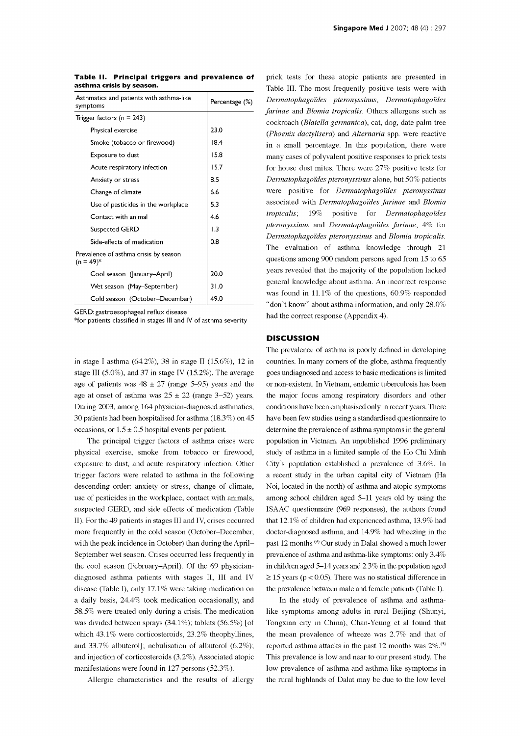| Asthmatics and patients with asthma-like<br>symptoms  | Percentage (%)   |
|-------------------------------------------------------|------------------|
| Trigger factors ( $n = 243$ )                         |                  |
| Physical exercise                                     | 23.0             |
| Smoke (tobacco or firewood)                           | 18.4             |
| Exposure to dust                                      | 15.8             |
| Acute respiratory infection                           | 15.7             |
| Anxiety or stress                                     | 8.5              |
| Change of climate                                     | 6.6              |
| Use of pesticides in the workplace                    | 5.3              |
| Contact with animal                                   | 4.6              |
| Suspected GERD                                        | $\overline{1.3}$ |
| Side-effects of medication                            | 0.8              |
| Prevalence of asthma crisis by season<br>$(n = 49)^*$ |                  |
| Cool season ( anuary-April)                           | 20.0             |
| Wet season (May-September)                            | 31.0             |
| Cold season (October-December)                        | 49.0             |
|                                                       |                  |

Table 11. Principal triggers and prevalence of asthma crisis by season.

GERD: gastroesophageal reflux disease

\*for patients classified in stages Ill and IV of asthma severity

in stage I asthma (64.2%), 38 in stage II (15.6%), 12 in age of patients was  $48 \pm 27$  (range 5-95) years and the age at onset of asthma was  $25 \pm 22$  (range 3-52) years. During 2003, among 164 physician -diagnosed asthmatics, 30 patients had been hospitalised for asthma (18.3%) on 45 occasions, or  $1.5 \pm 0.5$  hospital events per patient.

The principal trigger factors of asthma crises were physical exercise, smoke from tobacco or firewood, exposure to dust, and acute respiratory infection. Other trigger factors were related to asthma in the following descending order: anxiety or stress, change of climate, use of pesticides in the workplace, contact with animals, suspected GERD, and side effects of medication (Table II). For the 49 patients in stages III and IV, crises occurred more frequently in the cold season (October -December, with the peak incidence in October) than during the April-September wet season. Crises occurred less frequently in the cool season (February-April). Of the 69 physiciandiagnosed asthma patients with stages II, III and IV disease (Table I), only 17.1% were taking medication on a daily basis, 24.4% took medication occasionally, and 58.5% were treated only during a crisis. The medication was divided between sprays (34.1%); tablets (56.5%) [of which 43.1% were corticosteroids, 23.2% theophyllines, and 33.7% albuterol]; nebulisation of albuterol (6.2%); and injection of corticosteroids (3.2%). Associated atopic manifestations were found in 127 persons (52.3%).

Allergic characteristics and the results of allergy

prick tests for these atopic patients are presented in Table III. The most frequently positive tests were with Dermatophagoides pteronyssinus, Dermatophagoides farinae and Blomia tropicalis. Others allergens such as cockroach (Blatella germanica), cat, dog, date palm tree (Phoenix dactylisera) and Alternaria spp. were reactive in a small percentage. In this population, there were many cases of polyvalent positive responses to prick tests for house dust mites. There were 27% positive tests for Dermatophagoides pteronyssinus alone, but 50% patients were positive for Dermatophagoides pteronyssinus associated with Dermatophagoides farinae and Blomia tropicalis; 19% positive for Dermatophagoides pteronyssinus and Dermatophagoides farinae, 4% for Dermatophagoides pteronyssinus and Blomia tropicalis. The evaluation of asthma knowledge through 21 questions among 900 random persons aged from 15 to 65 years revealed that the majority of the population lacked general knowledge about asthma. An incorrect response was found in 11.1% of the questions, 60.9% responded "don't know" about asthma information, and only 28.0% had the correct response (Appendix 4).

#### **DISCUSSION**

stage III  $(5.0\%)$ , and 37 in stage IV  $(15.2\%)$ . The average goes undiagnosed and access to basic medications is limited The prevalence of asthma is poorly defined in developing countries. In many corners of the globe, asthma frequently or non-existent. In Vietnam, endemic tuberculosis has been the major focus among respiratory disorders and other conditions have been emphasised only in recent years. There have been few studies using a standardised questionnaire to determine the prevalence of asthma symptoms in the general population in Vietnam. An unpublished 1996 preliminary study of asthma in a limited sample of the Ho Chi Minh City's population established a prevalence of 3.6%. In a recent study in the urban capital city of Vietnam (Ha Noi, located in the north) of asthma and atopic symptoms among school children aged 5-11 years old by using the ISAAC questionnaire (969 responses), the authors found that 12.1% of children had experienced asthma, 13.9% had doctor -diagnosed asthma, and 14.9% had wheezing in the past 12 months. (9) Our study in Dalat showed a much lower prevalence of asthma and asthma -like symptoms: only 3.4% in children aged 5-14 years and 2.3% in the population aged  $\geq$  15 years (p < 0.05). There was no statistical difference in the prevalence between male and female patients (Table I).

> In the study of prevalence of asthma and asthmalike symptoms among adults in rural Beijing (Shunyi, Tongxian city in China), Chan-Yeung et al found that the mean prevalence of wheeze was 2.7% and that of reported asthma attacks in the past 12 months was  $2\%$ .<sup>(5)</sup> This prevalence is low and near to our present study. The low prevalence of asthma and asthma-like symptoms in the rural highlands of Dalat may be due to the low level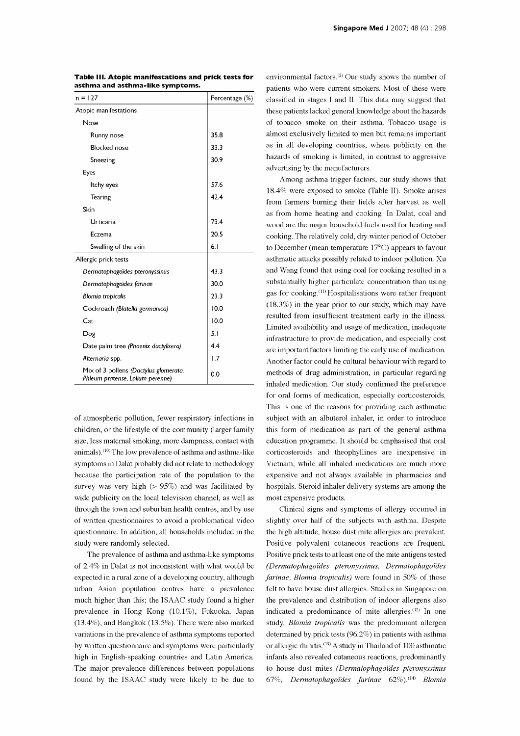| $n = 127$                                                                 | Percentage (%) |
|---------------------------------------------------------------------------|----------------|
| Atopic manifestations                                                     |                |
| Nose                                                                      |                |
| Runny nose                                                                | 35.8           |
| <b>Blocked</b> nose                                                       | 33.3           |
| Sneezing                                                                  | 30.9           |
| Eyes                                                                      |                |
| Itchy eyes                                                                | 57.6           |
| Tearing                                                                   | 42.4           |
| Skin                                                                      |                |
| Urticaria                                                                 | 73.4           |
| Eczema                                                                    | 20.5           |
| Swelling of the skin                                                      | 6.1            |
| Allergic prick tests                                                      |                |
| Dermatophagoïdes pteronyssinus                                            | 43.3           |
| Dermatophagoïdes farinae                                                  | 30.0           |
| <b>Blomia tropicalis</b>                                                  | 23.3           |
| Cockroach (Blatella germanica)                                            | 10.0           |
| Cat                                                                       | 10.0           |
| Dog                                                                       | 5.1            |
| Date palm tree (Phoenix dactylisera)                                      | 4.4            |
| Alternaria spp.                                                           | 1.7            |
| Mix of 3 pollens (Dactylus glomerata,<br>Phleum pratense, Lolium perenne) | 0.0            |

Table Ill. Atopic manifestations and prick tests for asthma and asthma -like symptoms.

of atmospheric pollution, fewer respiratory infections in children, or the lifestyle of the community (larger family size, less maternal smoking, more dampness, contact with animals).<sup>(10)</sup> The low prevalence of asthma and asthma-like symptoms in Dalat probably did not relate to methodology Vietnam, while all inhaled medications are much more because the participation rate of the population to the survey was very high  $(> 95\%)$  and was facilitated by wide publicity on the local television channel, as well as through the town and suburban health centres, and by use of written questionnaires to avoid a problematical video questionnaire. In addition, all households included in the study were randomly selected.

The prevalence of asthma and asthma-like symptoms of 2.4% in Dalat is not inconsistent with what would be expected in a rural zone of a developing country, although urban Asian population centres have a prevalence felt to have house dust allergies. Studies in Singapore on much higher than this; the ISAAC study found a higher prevalence in Hong Kong (10.1%), Fukuoka, Japan (13.4%), and Bangkok (13.5%). There were also marked variations in the prevalence of asthma symptoms reported determined by prick tests (96.2%) in patients with asthma by written questionnaire and symptoms were particularly high in English-speaking countries and Latin America. The major prevalence differences between populations found by the ISAAC study were likely to be due to

environmental factors. $(2)$  Our study shows the number of patients who were current smokers. Most of these were classified in stages I and II. This data may suggest that these patients lacked general knowledge about the hazards of tobacco smoke on their asthma. Tobacco usage is almost exclusively limited to men but remains important as in all developing countries, where publicity on the hazards of smoking is limited, in contrast to aggressive advertising by the manufacturers.

Among asthma trigger factors, our study shows that 18.4% were exposed to smoke (Table II). Smoke arises from farmers burning their fields after harvest as well as from home heating and cooking. In Dalat, coal and wood are the major household fuels used for heating and cooking. The relatively cold, dry winter period of October to December (mean temperature 17°C) appears to favour asthmatic attacks possibly related to indoor pollution. Xu and Wang found that using coal for cooking resulted in a substantially higher particulate concentration than using gas for cooking.<sup>(11)</sup> Hospitalisations were rather frequent (18.3%) in the year prior to our study, which may have resulted from insufficient treatment early in the illness. Limited availability and usage of medication, inadequate infrastructure to provide medication, and especially cost are important factors limiting the early use of medication. Another factor could be cultural behaviour with regard to methods of drug administration, in particular regarding inhaled medication. Our study confirmed the preference for oral forms of medication, especially corticosteroids. This is one of the reasons for providing each asthmatic subject with an albuterol inhaler, in order to introduce this form of medication as part of the general asthma education programme. It should be emphasised that oral corticosteroids and theophyllines are inexpensive in expensive and not always available in pharmacies and hospitals. Steroid inhaler delivery systems are among the most expensive products.

Clinical signs and symptoms of allergy occurred in slightly over half of the subjects with asthma. Despite the high altitude, house dust mite allergies are prevalent. Positive polyvalent cutaneous reactions are frequent. Positive prick tests to at least one of the mite antigens tested (Dermatophagoides pteronyssinus, Dermatophagoides farinae, Blomia tropicalis) were found in 50% of those the prevalence and distribution of indoor allergens also indicated a predominance of mite allergies. (12) In one study, Blomia tropicalis was the predominant allergen or allergic rhinitis. (13) A study in Thailand of 100 asthmatic infants also revealed cutaneous reactions, predominantly to house dust mites (Dermatophagoides pteronyssinus 67%, Dermatophagoides farinae 62%). $(14)$  Blomia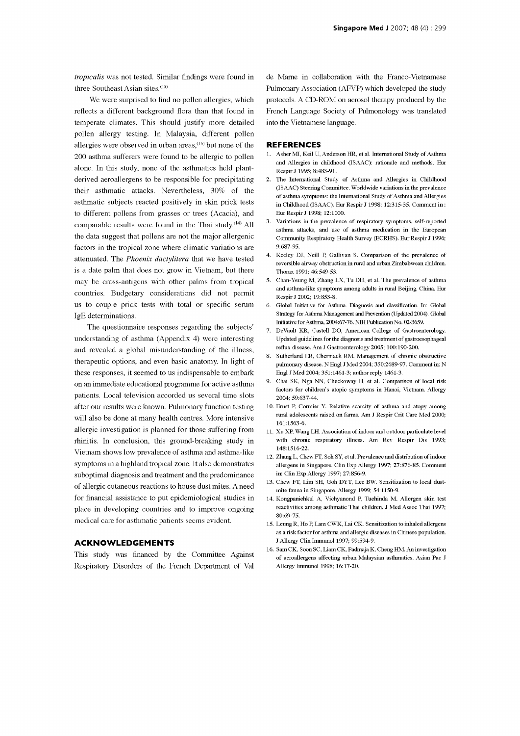tropicalis was not tested. Similar findings were found in three Southeast Asian sites.<sup>(15)</sup>

We were surprised to find no pollen allergies, which reflects a different background flora than that found in temperate climates. This should justify more detailed pollen allergy testing. In Malaysia, different pollen allergies were observed in urban areas, $(16)$  but none of the 200 asthma sufferers were found to be allergic to pollen alone. In this study, none of the asthmatics held plantderived aeroallergens to be responsible for precipitating their asthmatic attacks. Nevertheless, 30% of the asthmatic subjects reacted positively in skin prick tests to different pollens from grasses or trees (Acacia), and comparable results were found in the Thai study.<sup>(14)</sup> All  $3$ . the data suggest that pollens are not the major allergenic factors in the tropical zone where climatic variations are attenuated. The Phoenix dactylitera that we have tested is a date palm that does not grow in Vietnam, but there may be cross-antigens with other palms from tropical 5. countries. Budgetary considerations did not permit us to couple prick tests with total or specific serum IgE determinations.

The questionnaire responses regarding the subjects' understanding of asthma (Appendix 4) were interesting and revealed a global misunderstanding of the illness, therapeutic options, and even basic anatomy. In light of these responses, it seemed to us indispensable to embark on an immediate educational programme for active asthma patients. Local television accorded us several time slots after our results were known. Pulmonary function testing will also be done at many health centres. More intensive allergic investigation is planned for those suffering from rhinitis. In conclusion, this ground -breaking study in Vietnam shows low prevalence of asthma and asthma -like symptoms in a highland tropical zone. It also demonstrates suboptimal diagnosis and treatment and the predominance of allergic cutaneous reactions to house dust mites. A need for financial assistance to put epidemiological studies in place in developing countries and to improve ongoing medical care for asthmatic patients seems evident.

#### ACKNOWLEDGEMENTS

This study was financed by the Committee Against Respiratory Disorders of the French Department of Val de Marne in collaboration with the Franco -Vietnamese Pulmonary Association (AFVP) which developed the study protocols. A CD-ROM on aerosol therapy produced by the French Language Society of Pulmonology was translated into the Vietnamese language.

#### **REFERENCES**

- 1. Asher MI, Keil U, Anderson HR, et al. International Study of Asthma and Allergies in childhood (ISAAC): rationale and methods. Eur Respir J 1995; 8:483-91.
- 2. The International Study of Asthma and Allergies in Childhood (ISAAC) Steering Committee. Worldwide variations in the prevalence of asthma symptoms: the International Study of Asthma and Allergies in Childhood (ISAAC). Eur Respir J 1998; 12:315-35. Comment in : Eur Respir J 1998; 12:1000.
- Variations in the prevalence of respiratory symptoms, self-reported asthma attacks, and use of asthma medication in the European Community Respiratory Health Survey (ECRHS). Eur Respir J 1996; 9:687-95.
- 4. Keeley DJ, Neill P, Gallivan S. Comparison of the prevalence of reversible airway obstruction in rural and urban Zimbabwean children. Thorax 1991; 46:549-53.
- 5. Chan-Yeung M, Zhang LX, Tu DH, et al. The prevalence of asthma and asthma -like symptoms among adults in rural Beijing, China. Eur Respir J 2002; 19:853-8.
- % 6. Global Initiative for Asthma. Diagnosis and classification. In: Global Strategy for Asthma Management and Prevention (Updated 2004). Global Initiative for Asthma, 2004:67-76. NIH Publication No. 02-3659.<br>7. DeVault K
- Updated guidelines for the diagnosis and treatment of gastroesophageal reflux disease. Am J Gastroenterology 2005; 100:190-200.
- 8. Sutherland ER, Cherniack RM. Management of chronic obstructive pulmonary disease. N Engl J Med 2004; 350:2689-97. Comment in: N Engl J Med 2004; 351:1461-3; author reply 1461-3.
- 9. Chai SK, Nga NN, Checkoway H, et al. Comparison of local risk factors for children's atopic symptoms in Hanoi, Vietnam. Allergy 2004; 59:637-44.
- 10. Ernst P, Cormier Y. Relative scarcity of asthma and atopy among rural adolescents raised on farms. Am J Respir Crit Care Med 2000; 161:1563-6.
- 11. Xu XP, Wang LH. Association of indoor and outdoor particulate level with chronic respiratory illness. Am Rev Respir Dis 1993; 148:1516-22.
- 12. Zhang L, Chew FT, Soh SY, et al. Prevalence and distribution of indoor allergens in Singapore. Clin Exp Allergy 1997; 27:876-85. Comment in: Clin Exp Allergy 1997; 27:856-9.
- 13. Chew FT, Lim SH, Goh DYT, Lee BW. Sensitization to local dustmite fauna in Singapore. Allergy 1999; 54:1150-9.
- 14. Kongpanichkul A, Vichyanond P, Tuchinda M. Allergen skin test reactivities among asthmatic Thai children. J Med Assoc Thai 1997; 80:69-75.
- 15. Leung R, Ho P, Lam CWK, Lai CK. Sensitization to inhaled allergens as a risk factor for asthma and allergic diseases in Chinese population. J Allergy Clin Immunol 1997; 99:594-9.
- 16. Sam CK, Soon SC, Liam CK, Padmaja K, Cheng HM. An investigation of aeroallergens affecting urban Malaysian asthmatics. Asian Pac J Allergy Immunol 1998; 16:17-20.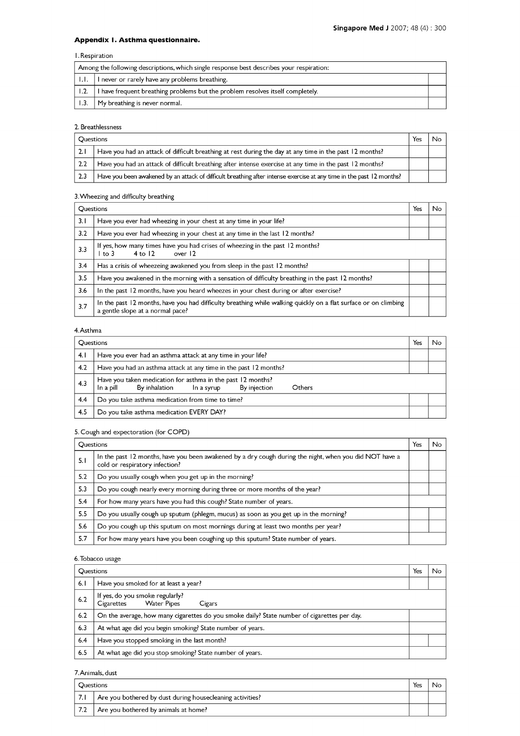# Appendix I. Asthma questionnaire.

# I. Respiration

| Among the following descriptions, which single response best describes your respiration: |                                                                                |  |
|------------------------------------------------------------------------------------------|--------------------------------------------------------------------------------|--|
| LL.                                                                                      | I never or rarely have any problems breathing.                                 |  |
|                                                                                          | I have frequent breathing problems but the problem resolves itself completely. |  |
| 1.3.                                                                                     | My breathing is never normal.                                                  |  |

## 2. Breathlessness

| <b>Ouestions</b>                                                                                               |                                                                                                                      | Yes |  |
|----------------------------------------------------------------------------------------------------------------|----------------------------------------------------------------------------------------------------------------------|-----|--|
| 2.1                                                                                                            | Have you had an attack of difficult breathing at rest during the day at any time in the past 12 months?              |     |  |
| Have you had an attack of difficult breathing after intense exercise at any time in the past 12 months?<br>2.2 |                                                                                                                      |     |  |
| 2.3                                                                                                            | Have you been awakened by an attack of difficult breathing after intense exercise at any time in the past 12 months? |     |  |

## 3.Wheezing and difficulty breathing

| <b>Ouestions</b> |                                                                                                                                                     | Yes | No |
|------------------|-----------------------------------------------------------------------------------------------------------------------------------------------------|-----|----|
| 3.1              | Have you ever had wheezing in your chest at any time in your life?                                                                                  |     |    |
| 3.2              | Have you ever had wheezing in your chest at any time in the last 12 months?                                                                         |     |    |
| 3.3              | If yes, how many times have you had crises of wheezing in the past 12 months?<br>over 12<br>$4$ to $12$<br>l to 3                                   |     |    |
| 3.4              | Has a crisis of wheezeing awakened you from sleep in the past 12 months?                                                                            |     |    |
| 3.5              | Have you awakened in the morning with a sensation of difficulty breathing in the past 12 months?                                                    |     |    |
| 3.6              | In the past 12 months, have you heard wheezes in your chest during or after exercise?                                                               |     |    |
| 3.7              | In the past 12 months, have you had difficulty breathing while walking quickly on a flat surface or on climbing<br>a gentle slope at a normal pace? |     |    |

# 4.Asthma

| <b>Questions</b> |                                                                                                                                   | Yes | No |
|------------------|-----------------------------------------------------------------------------------------------------------------------------------|-----|----|
| 4.1              | Have you ever had an asthma attack at any time in your life?                                                                      |     |    |
| 4.2              | Have you had an asthma attack at any time in the past 12 months?                                                                  |     |    |
| 4.3              | Have you taken medication for asthma in the past 12 months?<br>By injection<br>By inhalation<br>In a syrup<br>In a pill<br>Others |     |    |
| 4.4              | Do you take asthma medication from time to time?                                                                                  |     |    |
| 4.5              | Do you take asthma medication EVERY DAY?                                                                                          |     |    |

# 5. Cough and expectoration (for COPD)

| <b>Ouestions</b> |                                                                                                                                          | Yes | No |
|------------------|------------------------------------------------------------------------------------------------------------------------------------------|-----|----|
| 5.1              | In the past 12 months, have you been awakened by a dry cough during the night, when you did NOT have a<br>cold or respiratory infection? |     |    |
| 5.2              | Do you usually cough when you get up in the morning?                                                                                     |     |    |
| 5.3              | Do you cough nearly every morning during three or more months of the year?                                                               |     |    |
| 5.4              | For how many years have you had this cough? State number of years.                                                                       |     |    |
| 5.5              | Do you usually cough up sputum (phlegm, mucus) as soon as you get up in the morning?                                                     |     |    |
| 5.6              | Do you cough up this sputum on most mornings during at least two months per year?                                                        |     |    |
| 5.7              | For how many years have you been coughing up this sputum? State number of years.                                                         |     |    |

## 6.Tobacco usage

| <b>Ouestions</b> |                                                                                             | Yes | No |
|------------------|---------------------------------------------------------------------------------------------|-----|----|
| 6.1              | Have you smoked for at least a year?                                                        |     |    |
| 6.2              | If yes, do you smoke regularly?<br>Water Pipes<br>Cigarettes<br>Cigars                      |     |    |
| 6.2              | On the average, how many cigarettes do you smoke daily? State number of cigarettes per day. |     |    |
| 6.3              | At what age did you begin smoking? State number of years.                                   |     |    |
| 6.4              | Have you stopped smoking in the last month?                                                 |     |    |
| 6.5              | At what age did you stop smoking? State number of years.                                    |     |    |

## 7.Animals, dust

| <b>Ouestions</b> |     | Yes                                                       | Nc |  |
|------------------|-----|-----------------------------------------------------------|----|--|
|                  | 7.1 | Are you bothered by dust during housecleaning activities? |    |  |
|                  | 7.2 | Are you bothered by animals at home?                      |    |  |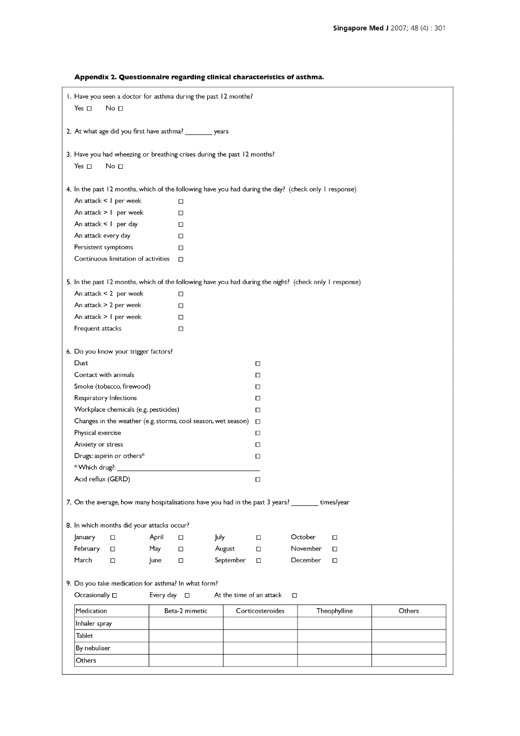| 1. Have you seen a doctor for asthma during the past 12 months?<br>Yes $\square$<br>No <sub>1</sub><br>2. At what age did you first have asthma? _________ years<br>3. Have you had wheezing or breathing crises during the past 12 months?<br>Yes $\Box$<br>No <sub>1</sub> |        |
|------------------------------------------------------------------------------------------------------------------------------------------------------------------------------------------------------------------------------------------------------------------------------|--------|
|                                                                                                                                                                                                                                                                              |        |
|                                                                                                                                                                                                                                                                              |        |
|                                                                                                                                                                                                                                                                              |        |
|                                                                                                                                                                                                                                                                              |        |
|                                                                                                                                                                                                                                                                              |        |
|                                                                                                                                                                                                                                                                              |        |
| 4. In the past 12 months, which of the following have you had during the day? (check only I response)                                                                                                                                                                        |        |
| An attack < 1 per week<br>□                                                                                                                                                                                                                                                  |        |
| An attack $> 1$ per week<br>□                                                                                                                                                                                                                                                |        |
| An attack $\leq$   per day<br>П                                                                                                                                                                                                                                              |        |
| An attack every day<br>$\Box$                                                                                                                                                                                                                                                |        |
| Persistent symptoms<br>$\Box$                                                                                                                                                                                                                                                |        |
| Continuous limitation of activities<br>$\Box$                                                                                                                                                                                                                                |        |
| 5. In the past 12 months, which of the following have you had during the night? (check only 1 response)                                                                                                                                                                      |        |
| An attack $< 2$ per week<br>□                                                                                                                                                                                                                                                |        |
| An attack > 2 per week<br>$\Box$                                                                                                                                                                                                                                             |        |
| An attack $> 1$ per week<br>□                                                                                                                                                                                                                                                |        |
| Frequent attacks<br>$\Box$                                                                                                                                                                                                                                                   |        |
|                                                                                                                                                                                                                                                                              |        |
| 6. Do you know your trigger factors?                                                                                                                                                                                                                                         |        |
| Dust<br>П                                                                                                                                                                                                                                                                    |        |
| Contact with animals<br>□                                                                                                                                                                                                                                                    |        |
| Smoke (tobacco, firewood)<br>О                                                                                                                                                                                                                                               |        |
| Respiratory Infections<br>П                                                                                                                                                                                                                                                  |        |
| Workplace chemicals (e.g. pesticides)<br>П                                                                                                                                                                                                                                   |        |
| Changes in the weather (e.g. storms, cool season, wet season)<br>$\Box$                                                                                                                                                                                                      |        |
| Physical exercise<br>П                                                                                                                                                                                                                                                       |        |
| Anxiety or stress<br>П                                                                                                                                                                                                                                                       |        |
| Drugs: aspirin or others*<br>П                                                                                                                                                                                                                                               |        |
| *Which drug?:                                                                                                                                                                                                                                                                |        |
| Acid reflux (GERD)<br>П                                                                                                                                                                                                                                                      |        |
| 7. On the average, how many hospitalisations have you had in the past 3 years? times/year                                                                                                                                                                                    |        |
| 8. In which months did your attacks occur?                                                                                                                                                                                                                                   |        |
| July<br>October<br>January<br>April<br>□<br>О<br>0<br>□                                                                                                                                                                                                                      |        |
| February<br>May<br>August<br>November<br>□<br>О<br>П.<br>О                                                                                                                                                                                                                   |        |
| March<br>September<br>December<br>$\Box$<br>June<br>$\Box$<br>□<br>□                                                                                                                                                                                                         |        |
|                                                                                                                                                                                                                                                                              |        |
| 9. Do you take medication for asthma? In what form?<br>Occasionally $\square$<br>Every day $\square$<br>At the time of an attack<br>$\Box$                                                                                                                                   |        |
| Medication<br>Beta-2 mimetic<br>Corticosteroides<br>Theophylline                                                                                                                                                                                                             | Others |
| Inhaler spray                                                                                                                                                                                                                                                                |        |
| Tablet                                                                                                                                                                                                                                                                       |        |
|                                                                                                                                                                                                                                                                              |        |
| By nebuliser                                                                                                                                                                                                                                                                 |        |
| Others                                                                                                                                                                                                                                                                       |        |

Appendix 2. Questionnaire regarding clinical characteristics of asthma.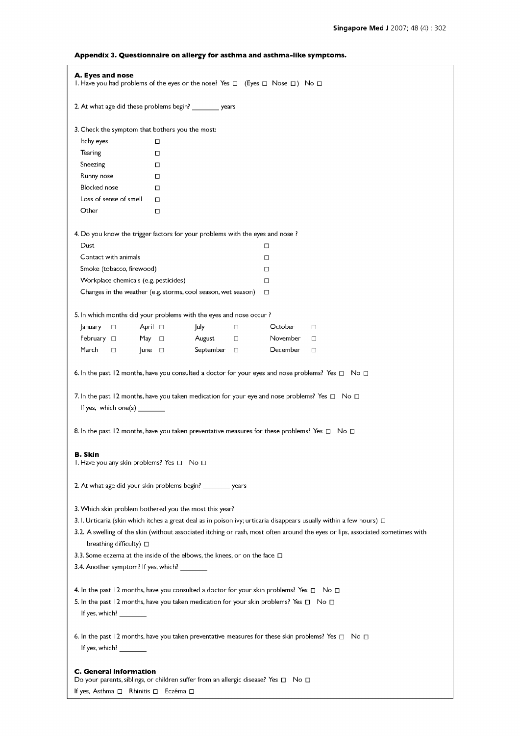| A. Eyes and nose<br>1. Have you had problems of the eyes or the nose? Yes $\Box$ (Eyes $\Box$ Nose $\Box$ ) No $\Box$ |                                                                                                                                                                                                                     |  |
|-----------------------------------------------------------------------------------------------------------------------|---------------------------------------------------------------------------------------------------------------------------------------------------------------------------------------------------------------------|--|
|                                                                                                                       | 2. At what age did these problems begin? _________ years                                                                                                                                                            |  |
| 3. Check the symptom that bothers you the most:                                                                       |                                                                                                                                                                                                                     |  |
| Itchy eyes                                                                                                            | $\Box$                                                                                                                                                                                                              |  |
| Tearing                                                                                                               | □                                                                                                                                                                                                                   |  |
| Sneezing                                                                                                              | □                                                                                                                                                                                                                   |  |
| Runny nose                                                                                                            | $\Box$                                                                                                                                                                                                              |  |
| <b>Blocked</b> nose                                                                                                   | □                                                                                                                                                                                                                   |  |
| Loss of sense of smell                                                                                                | $\Box$                                                                                                                                                                                                              |  |
| Other                                                                                                                 | □                                                                                                                                                                                                                   |  |
|                                                                                                                       | 4. Do you know the trigger factors for your problems with the eyes and nose ?                                                                                                                                       |  |
| Dust                                                                                                                  | □                                                                                                                                                                                                                   |  |
| Contact with animals                                                                                                  | □                                                                                                                                                                                                                   |  |
| Smoke (tobacco, firewood)                                                                                             | □                                                                                                                                                                                                                   |  |
| Workplace chemicals (e.g. pesticides)                                                                                 | □                                                                                                                                                                                                                   |  |
|                                                                                                                       | Changes in the weather (e.g. storms, cool season, wet season)<br>□                                                                                                                                                  |  |
|                                                                                                                       | 5. In which months did your problems with the eyes and nose occur?                                                                                                                                                  |  |
| January<br>□                                                                                                          | July<br>October<br>April □<br>0<br>$\Box$                                                                                                                                                                           |  |
| February $\Box$<br>May                                                                                                | August<br>$\Box$<br>$\Box$<br>November<br>$\Box$                                                                                                                                                                    |  |
| March<br>П                                                                                                            | June $\Box$<br>September<br>$\Box$<br>December<br>□                                                                                                                                                                 |  |
| If yes, which one(s) $\_\_$                                                                                           | 7. In the past 12 months, have you taken medication for your eye and nose problems? Yes $\Box$ No $\Box$<br>8. In the past 12 months, have you taken preventative measures for these problems? Yes $\Box$ No $\Box$ |  |
| B. Skin<br>1. Have you any skin problems? Yes □ No □                                                                  | 2. At what age did your skin problems begin? ________ years                                                                                                                                                         |  |
|                                                                                                                       |                                                                                                                                                                                                                     |  |
|                                                                                                                       | 3. Which skin problem bothered you the most this year?                                                                                                                                                              |  |
|                                                                                                                       | 3.1. Urticaria (skin which itches a great deal as in poison ivy; urticaria disappears usually within a few hours) $\Box$                                                                                            |  |
| breathing difficulty) □                                                                                               | 3.2. A swelling of the skin (without associated itching or rash, most often around the eyes or lips, associated sometimes with                                                                                      |  |
|                                                                                                                       | 3.3. Some eczema at the inside of the elbows, the knees, or on the face $\Box$                                                                                                                                      |  |
| 3.4. Another symptom? If yes, which? ________                                                                         |                                                                                                                                                                                                                     |  |
|                                                                                                                       | 4. In the past 12 months, have you consulted a doctor for your skin problems? Yes $\Box$ No $\Box$                                                                                                                  |  |
|                                                                                                                       | 5. In the past 12 months, have you taken medication for your skin problems? Yes $\Box$ No $\Box$                                                                                                                    |  |
| If yes, which? $\_\_$                                                                                                 |                                                                                                                                                                                                                     |  |
| If yes, which? $\frac{1}{2}$                                                                                          | 6. In the past 12 months, have you taken preventative measures for these skin problems? Yes $\Box$ No $\Box$                                                                                                        |  |
| C. General information<br>If yes, Asthma □ Rhinitis □ Eczéma □                                                        | Do your parents, siblings, or children suffer from an allergic disease? Yes □ No □                                                                                                                                  |  |

# Appendix 3. Questionnaire on allergy for asthma and asthma -like symptoms.